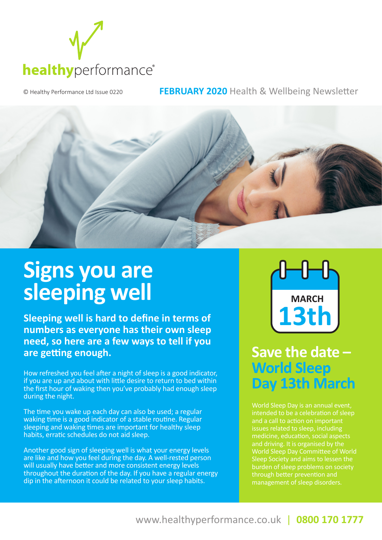

© Healthy Performance Ltd Issue 0220 **FEBRUARY 2020** Health & Wellbeing Newsletter



## **Signs you are sleeping well**

**Sleeping well is hard to define in terms of numbers as everyone has their own sleep need, so here are a few ways to tell if you are getting enough.**

How refreshed you feel after a night of sleep is a good indicator, if you are up and about with little desire to return to bed within the first hour of waking then you've probably had enough sleep during the night.

The time you wake up each day can also be used; a regular waking time is a good indicator of a stable routine. Regular sleeping and waking times are important for healthy sleep habits, erratic schedules do not aid sleep.

Another good sign of sleeping well is what your energy levels are like and how you feel during the day. A well-rested person will usually have better and more consistent energy levels throughout the duration of the day. If you have a regular energy dip in the afternoon it could be related to your sleep habits.



**Save the date -World Sleep Day 13th March** 

intended to be a celebration of sleep and driving. It is organised by the burden of sleep problems on society through better prevention and management of sleep disorders.